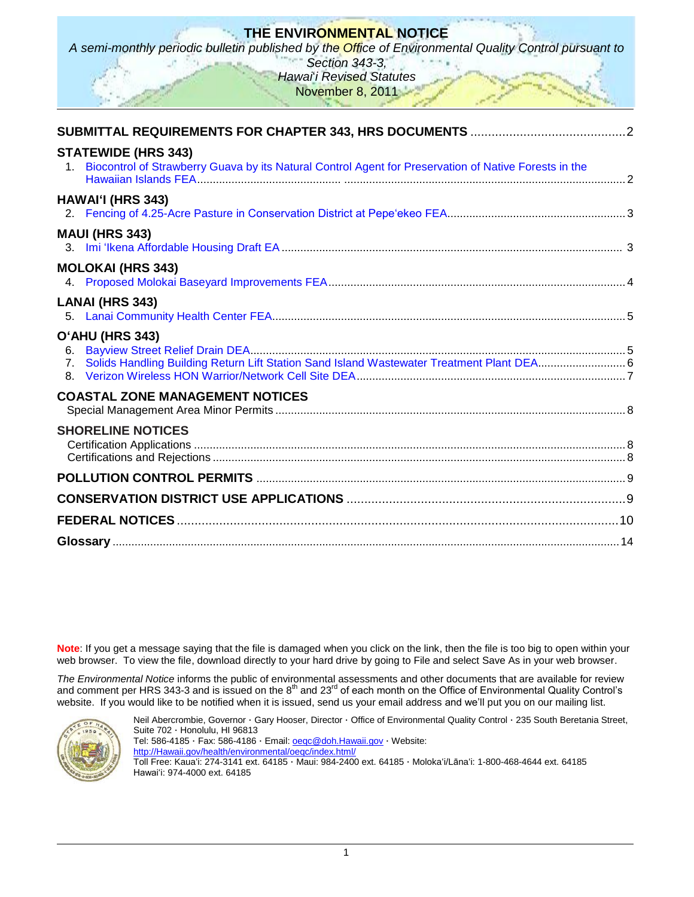# **THE ENVIRONMENTAL NOTICE**

*A semi-monthly periodic bulletin published by the Office of Environmental Quality Control pursuant to* 

*Section 343-3, Hawai*"*i Revised Statutes* November 8, 2011

| <b>STATEWIDE (HRS 343)</b><br>Biocontrol of Strawberry Guava by its Natural Control Agent for Preservation of Native Forests in the<br>$1_{\cdot}$ |  |
|----------------------------------------------------------------------------------------------------------------------------------------------------|--|
| <b>HAWAI'I (HRS 343)</b>                                                                                                                           |  |
| <b>MAUI (HRS 343)</b>                                                                                                                              |  |
| <b>MOLOKAI (HRS 343)</b>                                                                                                                           |  |
| <b>LANAI (HRS 343)</b>                                                                                                                             |  |
| O'AHU (HRS 343)<br>6.<br>Solids Handling Building Return Lift Station Sand Island Wastewater Treatment Plant DEA 6<br>7 <sub>1</sub>               |  |
| <b>COASTAL ZONE MANAGEMENT NOTICES</b>                                                                                                             |  |
| <b>SHORELINE NOTICES</b>                                                                                                                           |  |
|                                                                                                                                                    |  |
|                                                                                                                                                    |  |
|                                                                                                                                                    |  |
|                                                                                                                                                    |  |

**Note**: If you get a message saying that the file is damaged when you click on the link, then the file is too big to open within your web browser. To view the file, download directly to your hard drive by going to File and select Save As in your web browser.

*The Environmental Notice* informs the public of environmental assessments and other documents that are available for review and comment per HRS 343-3 and is issued on the  $8<sup>th</sup>$  and 23<sup>rd</sup> of each month on the Office of Environmental Quality Control's website. If you would like to be notified when it is issued, send us your email address and we"ll put you on our mailing list.



Neil Abercrombie, Governor · Gary Hooser, Director · Office of Environmental Quality Control · 235 South Beretania Street, Suite 702 · Honolulu, HI 96813 Tel: 586-4185 · Fax: 586-4186 · Email: [oeqc@doh.Hawaii.gov](mailto:oeqc@doh.Hawaii.gov) · Website: [http://Hawaii.gov/health/environmental/oeqc/index.html/](http://hawaii.gov/health/environmental/oeqc/index.html/) Toll Free: Kauaʻi: 274-3141 ext. 64185 · Maui: 984-2400 ext. 64185 · Molokaʻi/Lānaʻi: 1-800-468-4644 ext. 64185 Hawaiʻi: 974-4000 ext. 64185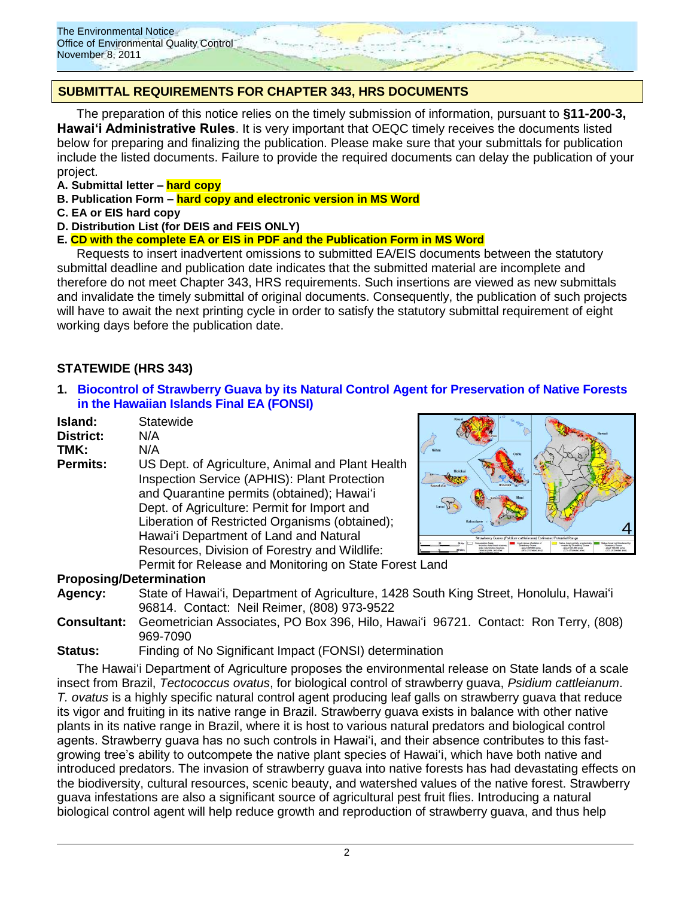

## **SUBMITTAL REQUIREMENTS FOR CHAPTER 343, HRS DOCUMENTS**

The preparation of this notice relies on the timely submission of information, pursuant to **§11-200-3, Hawaiʻi Administrative Rules**. It is very important that OEQC timely receives the documents listed below for preparing and finalizing the publication. Please make sure that your submittals for publication include the listed documents. Failure to provide the required documents can delay the publication of your project.

- **A. Submittal letter – hard copy**
- **B. Publication Form – hard copy and electronic version in MS Word**
- **C. EA or EIS hard copy**
- **D. Distribution List (for DEIS and FEIS ONLY)**

### **E. CD with the complete EA or EIS in PDF and the Publication Form in MS Word**

Requests to insert inadvertent omissions to submitted EA/EIS documents between the statutory submittal deadline and publication date indicates that the submitted material are incomplete and therefore do not meet Chapter 343, HRS requirements. Such insertions are viewed as new submittals and invalidate the timely submittal of original documents. Consequently, the publication of such projects will have to await the next printing cycle in order to satisfy the statutory submittal requirement of eight working days before the publication date.

## **STATEWIDE (HRS 343)**

**1. [Biocontrol of Strawberry Guava by its Natural Control Agent for Preservation of Native Forests](http://oeqc.doh.hawaii.gov/Shared%20Documents/EA_and_EIS_Online_Library/Statewide/2010s/2011-11-08-FEA-Biocontrol-Strawberry-Guava.pdf)  [in the Hawaiian Islands](http://oeqc.doh.hawaii.gov/Shared%20Documents/EA_and_EIS_Online_Library/Statewide/2010s/2011-11-08-FEA-Biocontrol-Strawberry-Guava.pdf) Final EA (FONSI)**

| Island:                        | Statewide                                                                                                                                                                                                                                                                                 |
|--------------------------------|-------------------------------------------------------------------------------------------------------------------------------------------------------------------------------------------------------------------------------------------------------------------------------------------|
| <b>District:</b>               | N/A                                                                                                                                                                                                                                                                                       |
| TMK:                           | N/A                                                                                                                                                                                                                                                                                       |
| <b>Permits:</b>                | US Dept. of Agriculture, Animal and Plant Health<br>Inspection Service (APHIS): Plant Protection<br>and Quarantine permits (obtained); Hawai'i<br>Dept. of Agriculture: Permit for Import and<br>Liberation of Restricted Organisms (obtained);<br>Hawai'i Department of Land and Natural |
|                                | Resources, Division of Forestry and Wildlife:                                                                                                                                                                                                                                             |
|                                | Permit for Release and Monitoring on State Fores                                                                                                                                                                                                                                          |
| <b>Proposing/Determination</b> |                                                                                                                                                                                                                                                                                           |



st Land

### **Proposing/Determination**

- **Agency:** State of Hawaiʻi, Department of Agriculture, 1428 South King Street, Honolulu, Hawaiʻi 96814. Contact: Neil Reimer, (808) 973-9522
- **Consultant:** Geometrician Associates, PO Box 396, Hilo, Hawaiʻi 96721. Contact: Ron Terry, (808) 969-7090

**Status:** Finding of No Significant Impact (FONSI) determination

The Hawaiʻi Department of Agriculture proposes the environmental release on State lands of a scale insect from Brazil, *Tectococcus ovatus*, for biological control of strawberry guava, *Psidium cattleianum*. *T. ovatus* is a highly specific natural control agent producing leaf galls on strawberry guava that reduce its vigor and fruiting in its native range in Brazil. Strawberry guava exists in balance with other native plants in its native range in Brazil, where it is host to various natural predators and biological control agents. Strawberry guava has no such controls in Hawai"i, and their absence contributes to this fastgrowing tree"s ability to outcompete the native plant species of Hawaiʻi, which have both native and introduced predators. The invasion of strawberry guava into native forests has had devastating effects on the biodiversity, cultural resources, scenic beauty, and watershed values of the native forest. Strawberry guava infestations are also a significant source of agricultural pest fruit flies. Introducing a natural biological control agent will help reduce growth and reproduction of strawberry guava, and thus help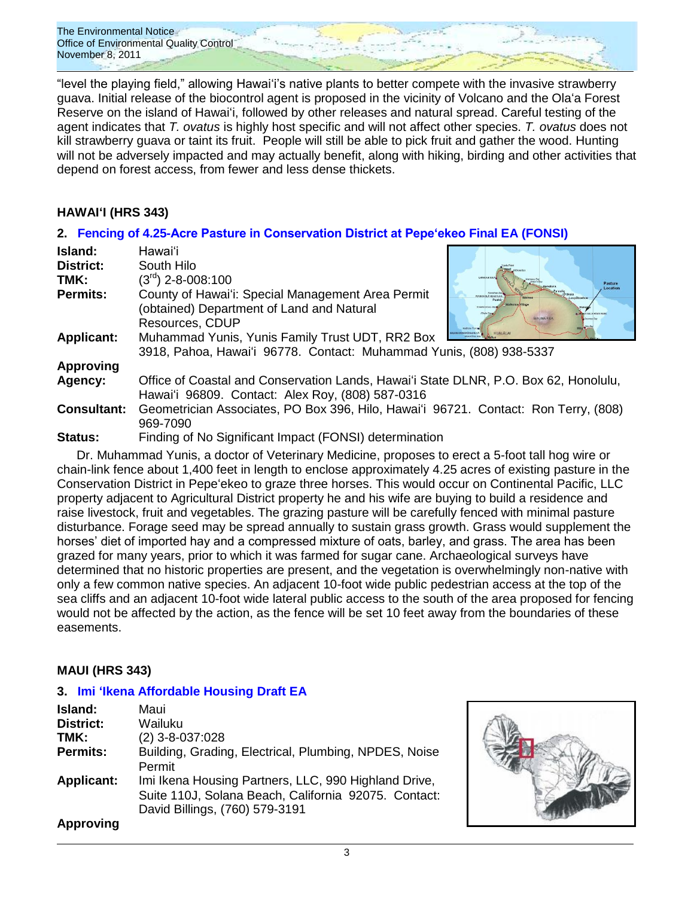The Environmental Notice Office of Environmental Quality Control November 8, 2011

"level the playing field," allowing Hawaiʻi"s native plants to better compete with the invasive strawberry guava. Initial release of the biocontrol agent is proposed in the vicinity of Volcano and the Olaʻa Forest Reserve on the island of Hawaiʻi, followed by other releases and natural spread. Careful testing of the agent indicates that *T. ovatus* is highly host specific and will not affect other species. *T. ovatus* does not kill strawberry guava or taint its fruit. People will still be able to pick fruit and gather the wood. Hunting will not be adversely impacted and may actually benefit, along with hiking, birding and other activities that depend on forest access, from fewer and less dense thickets.

## **HAWAIʻI (HRS 343)**

## **2. [Fencing of 4.25-Acre Pasture in Conservation District at Pepe'ekeo Final EA](http://oeqc.doh.hawaii.gov/Shared%20Documents/EA_and_EIS_Online_Library/Hawaii/2010s/2011-11-08-FEA-Fencing-Pepeekeo.pdf) (FONSI)**

| Island:            | Hawaiʻi                                                                              |                                   |
|--------------------|--------------------------------------------------------------------------------------|-----------------------------------|
| District:          | South Hilo                                                                           |                                   |
| TMK:               | $(3rd)$ 2-8-008:100                                                                  | Pasture                           |
| <b>Permits:</b>    | County of Hawai'i: Special Management Area Permit                                    | <b>USBOTHE'S &amp; HPSALL NUM</b> |
|                    | (obtained) Department of Land and Natural                                            |                                   |
|                    | Resources, CDUP                                                                      |                                   |
| <b>Applicant:</b>  | Muhammad Yunis, Yunis Family Trust UDT, RR2 Box                                      |                                   |
|                    | 3918, Pahoa, Hawai'i 96778. Contact: Muhammad Yunis, (808) 938-5337                  |                                   |
| <b>Approving</b>   |                                                                                      |                                   |
| Agency:            | Office of Coastal and Conservation Lands, Hawai'i State DLNR, P.O. Box 62, Honolulu, |                                   |
|                    | Hawai'i 96809. Contact: Alex Roy, (808) 587-0316                                     |                                   |
| <b>Consultant:</b> | Geometrician Associates, PO Box 396, Hilo, Hawai'i 96721. Contact: Ron Terry, (808)  |                                   |
|                    | 969-7090                                                                             |                                   |
| Status:            | Finding of No Significant Impact (FONSI) determination                               |                                   |

Dr. Muhammad Yunis, a doctor of Veterinary Medicine, proposes to erect a 5-foot tall hog wire or chain-link fence about 1,400 feet in length to enclose approximately 4.25 acres of existing pasture in the Conservation District in Pepeʻekeo to graze three horses. This would occur on Continental Pacific, LLC property adjacent to Agricultural District property he and his wife are buying to build a residence and raise livestock, fruit and vegetables. The grazing pasture will be carefully fenced with minimal pasture disturbance. Forage seed may be spread annually to sustain grass growth. Grass would supplement the horses' diet of imported hay and a compressed mixture of oats, barley, and grass. The area has been grazed for many years, prior to which it was farmed for sugar cane. Archaeological surveys have determined that no historic properties are present, and the vegetation is overwhelmingly non-native with only a few common native species. An adjacent 10-foot wide public pedestrian access at the top of the sea cliffs and an adjacent 10-foot wide lateral public access to the south of the area proposed for fencing would not be affected by the action, as the fence will be set 10 feet away from the boundaries of these easements.

### **MAUI (HRS 343)**

### **3. [Imi ʻIkena Affordable Housing Draft EA](http://oeqc.doh.hawaii.gov/Shared%20Documents/EA_and_EIS_Online_Library/Maui/2010s/2011-11-08-DEA-Imi-Ikena-Affordable-Housing.pdf)**

| Island:           | Maui                                                                                                                                           |
|-------------------|------------------------------------------------------------------------------------------------------------------------------------------------|
| <b>District:</b>  | Wailuku                                                                                                                                        |
| TMK:              | $(2)$ 3-8-037:028                                                                                                                              |
| <b>Permits:</b>   | Building, Grading, Electrical, Plumbing, NPDES, Noise<br>Permit                                                                                |
| <b>Applicant:</b> | Imi Ikena Housing Partners, LLC, 990 Highland Drive,<br>Suite 110J, Solana Beach, California 92075. Contact:<br>David Billings, (760) 579-3191 |
| <b>Approving</b>  |                                                                                                                                                |

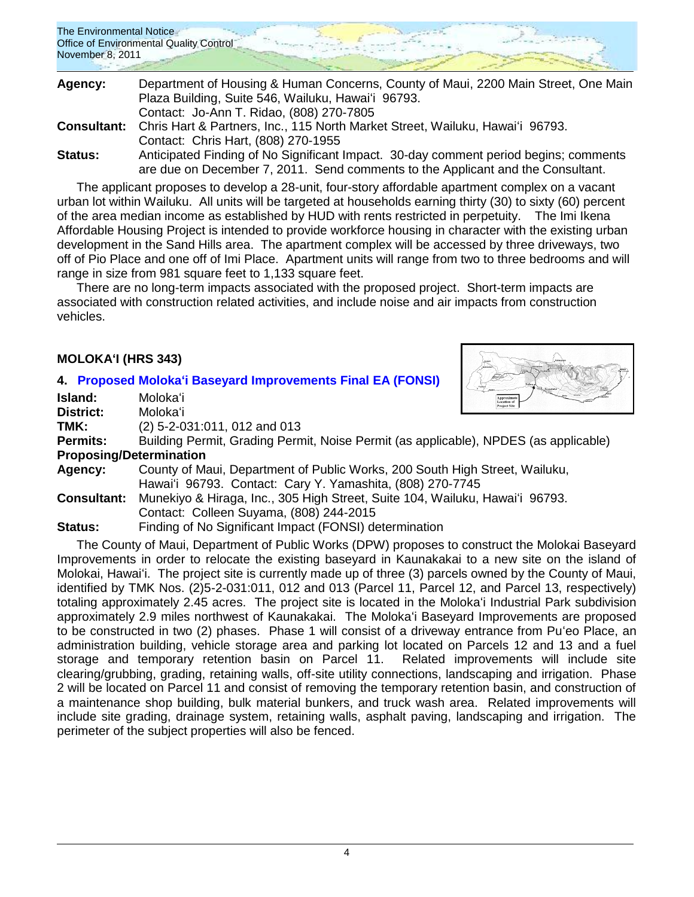| The Environmental Notice                |  |  |
|-----------------------------------------|--|--|
| Office of Environmental Quality Control |  |  |
| November 8, 2011                        |  |  |
|                                         |  |  |

| Agency:        | Department of Housing & Human Concerns, County of Maui, 2200 Main Street, One Main        |
|----------------|-------------------------------------------------------------------------------------------|
|                | Plaza Building, Suite 546, Wailuku, Hawai'i 96793.                                        |
|                | Contact: Jo-Ann T. Ridao, (808) 270-7805                                                  |
|                | Consultant: Chris Hart & Partners, Inc., 115 North Market Street, Wailuku, Hawai'i 96793. |
|                | Contact: Chris Hart, (808) 270-1955                                                       |
| <b>Status:</b> | Anticipated Finding of No Significant Impact. 30-day comment period begins; comments      |
|                | are due on December 7, 2011. Send comments to the Applicant and the Consultant.           |

The applicant proposes to develop a 28-unit, four-story affordable apartment complex on a vacant urban lot within Wailuku. All units will be targeted at households earning thirty (30) to sixty (60) percent of the area median income as established by HUD with rents restricted in perpetuity. The Imi Ikena Affordable Housing Project is intended to provide workforce housing in character with the existing urban development in the Sand Hills area. The apartment complex will be accessed by three driveways, two off of Pio Place and one off of Imi Place. Apartment units will range from two to three bedrooms and will range in size from 981 square feet to 1,133 square feet.

There are no long-term impacts associated with the proposed project. Short-term impacts are associated with construction related activities, and include noise and air impacts from construction vehicles.

## **MOLOKAʻI (HRS 343)**

### **4. [Proposed Molokaʻi Baseyard Improvements Final EA \(FONSI\)](http://oeqc.doh.hawaii.gov/Shared%20Documents/EA_and_EIS_Online_Library/Molokai/2010s/2011-11-08-FEA-Molokai-Baseyard-Improvements.pdf)**



**Island:** Molokaʻi

**District:** Molokaʻi

**TMK:** (2) 5-2-031:011, 012 and 013<br>**Permits:** Building Permit, Grading Perm

Building Permit, Grading Permit, Noise Permit (as applicable), NPDES (as applicable) **Proposing/Determination**

**Agency:** County of Maui, Department of Public Works, 200 South High Street, Wailuku, Hawaiʻi 96793. Contact: Cary Y. Yamashita, (808) 270-7745

**Consultant:** Munekiyo & Hiraga, Inc., 305 High Street, Suite 104, Wailuku, Hawaiʻi 96793. Contact: Colleen Suyama, (808) 244-2015

**Status:** Finding of No Significant Impact (FONSI) determination

The County of Maui, Department of Public Works (DPW) proposes to construct the Molokai Baseyard Improvements in order to relocate the existing baseyard in Kaunakakai to a new site on the island of Molokai, Hawaiʻi. The project site is currently made up of three (3) parcels owned by the County of Maui, identified by TMK Nos. (2)5-2-031:011, 012 and 013 (Parcel 11, Parcel 12, and Parcel 13, respectively) totaling approximately 2.45 acres. The project site is located in the Molokaʻi Industrial Park subdivision approximately 2.9 miles northwest of Kaunakakai. The Molokaʻi Baseyard Improvements are proposed to be constructed in two (2) phases. Phase 1 will consist of a driveway entrance from Puʻeo Place, an administration building, vehicle storage area and parking lot located on Parcels 12 and 13 and a fuel storage and temporary retention basin on Parcel 11. Related improvements will include site clearing/grubbing, grading, retaining walls, off-site utility connections, landscaping and irrigation. Phase 2 will be located on Parcel 11 and consist of removing the temporary retention basin, and construction of a maintenance shop building, bulk material bunkers, and truck wash area. Related improvements will include site grading, drainage system, retaining walls, asphalt paving, landscaping and irrigation. The perimeter of the subject properties will also be fenced.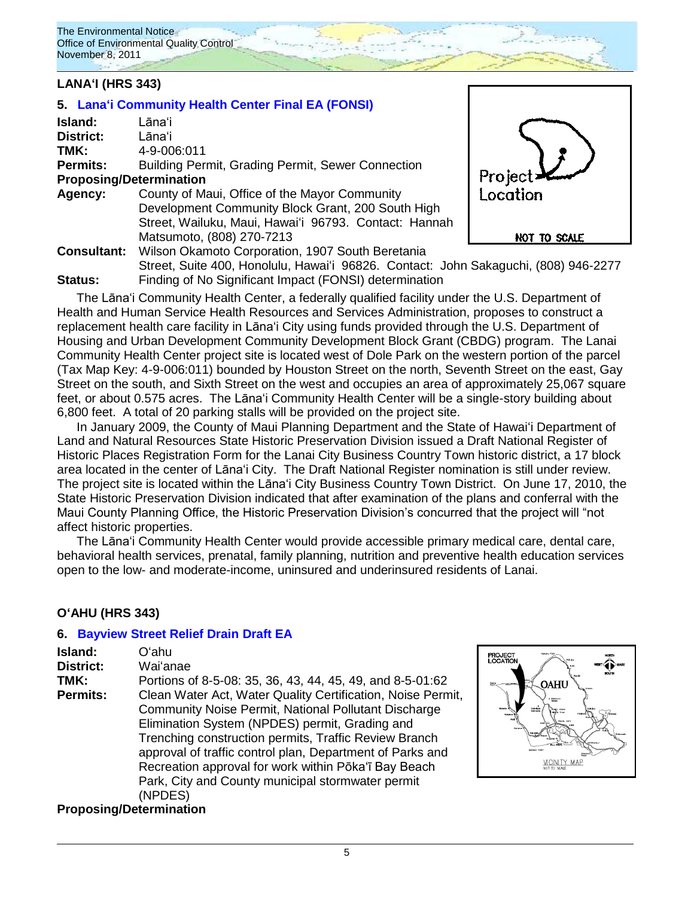## **LANAʻI (HRS 343)**

# **5. [Lanaʻi Community Health Center](http://oeqc.doh.hawaii.gov/Shared%20Documents/EA_and_EIS_Online_Library/Lanai/2010s/2011-11-08-FEA-Lanai-Community-Health-Center.pdf) Final EA (FONSI)**

| Island:                        | Lānaʻi                                                                              |                       |
|--------------------------------|-------------------------------------------------------------------------------------|-----------------------|
| District:                      | Lānaʻi                                                                              |                       |
| TMK:                           | 4-9-006:011                                                                         |                       |
| <b>Permits:</b>                | Building Permit, Grading Permit, Sewer Connection                                   |                       |
| <b>Proposing/Determination</b> |                                                                                     | Project X<br>Location |
| Agency:                        | County of Maui, Office of the Mayor Community                                       |                       |
|                                | Development Community Block Grant, 200 South High                                   |                       |
|                                | Street, Wailuku, Maui, Hawai'i 96793. Contact: Hannah                               |                       |
|                                | Matsumoto, (808) 270-7213                                                           | NOT TO SCALE          |
| <b>Consultant:</b>             | Wilson Okamoto Corporation, 1907 South Beretania                                    |                       |
|                                | Street, Suite 400, Honolulu, Hawai'i 96826. Contact: John Sakaguchi, (808) 946-2277 |                       |
| <b>Status:</b>                 | Finding of No Significant Impact (FONSI) determination                              |                       |

The Lānaʻi Community Health Center, a federally qualified facility under the U.S. Department of Health and Human Service Health Resources and Services Administration, proposes to construct a replacement health care facility in Lānaʻi City using funds provided through the U.S. Department of Housing and Urban Development Community Development Block Grant (CBDG) program. The Lanai Community Health Center project site is located west of Dole Park on the western portion of the parcel (Tax Map Key: 4-9-006:011) bounded by Houston Street on the north, Seventh Street on the east, Gay Street on the south, and Sixth Street on the west and occupies an area of approximately 25,067 square feet, or about 0.575 acres. The Lānaʻi Community Health Center will be a single-story building about 6,800 feet. A total of 20 parking stalls will be provided on the project site.

In January 2009, the County of Maui Planning Department and the State of Hawaiʻi Department of Land and Natural Resources State Historic Preservation Division issued a Draft National Register of Historic Places Registration Form for the Lanai City Business Country Town historic district, a 17 block area located in the center of Lānaʻi City. The Draft National Register nomination is still under review. The project site is located within the Lānaʻi City Business Country Town District. On June 17, 2010, the State Historic Preservation Division indicated that after examination of the plans and conferral with the Maui County Planning Office, the Historic Preservation Division"s concurred that the project will "not affect historic properties.

The Lānaʻi Community Health Center would provide accessible primary medical care, dental care, behavioral health services, prenatal, family planning, nutrition and preventive health education services open to the low- and moderate-income, uninsured and underinsured residents of Lanai.

### **OʻAHU (HRS 343)**

### **6. [Bayview Street Relief Drain](http://oeqc.doh.hawaii.gov/Shared%20Documents/EA_and_EIS_Online_Library/Oahu/2010s/2011-11-08-DEA-Bayview-Street-Relief-Drain.pdf) Draft EA**

| Island:<br><b>District:</b><br>TMK:<br><b>Permits:</b> | Oʻahu<br>Waiʻanae<br>Portions of 8-5-08: 35, 36, 43, 44, 45, 49, and 8-5-01:62<br>Clean Water Act, Water Quality Certification, Noise Permit,<br>Community Noise Permit, National Pollutant Discharge<br>Elimination System (NPDES) permit, Grading and<br>Trenching construction permits, Traffic Review Branch<br>approval of traffic control plan, Department of Parks and<br>Recreation approval for work within Pōka'ī Bay Beach |
|--------------------------------------------------------|---------------------------------------------------------------------------------------------------------------------------------------------------------------------------------------------------------------------------------------------------------------------------------------------------------------------------------------------------------------------------------------------------------------------------------------|
|                                                        | Park, City and County municipal stormwater permit<br>(NPDES)                                                                                                                                                                                                                                                                                                                                                                          |

### **Proposing/Determination**

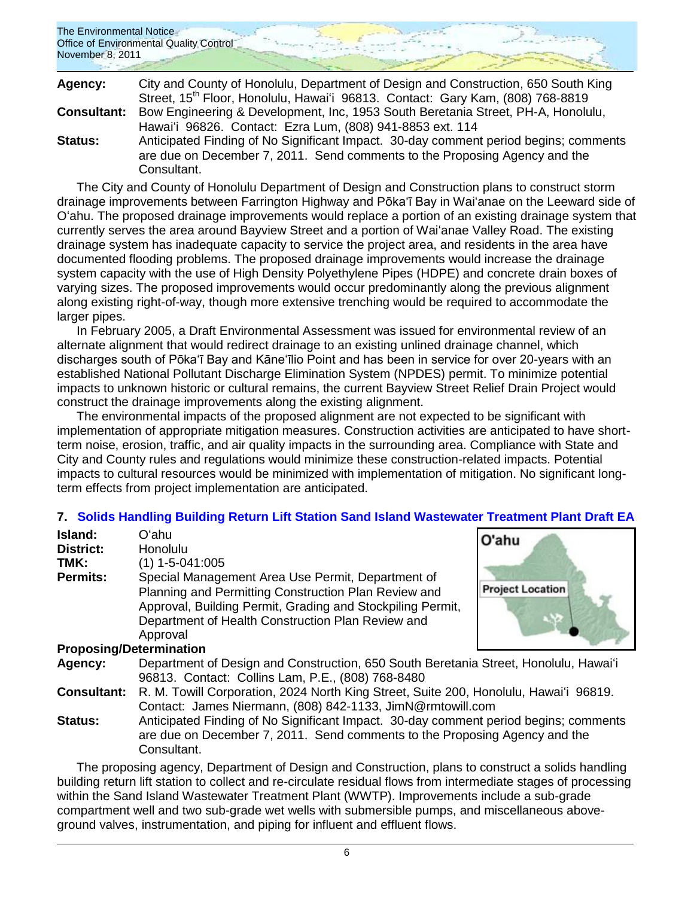| The Environmental Notice<br>Office of Environmental Quality Control<br>November 8, 2011 |  |
|-----------------------------------------------------------------------------------------|--|
|                                                                                         |  |

| Agency:            | City and County of Honolulu, Department of Design and Construction, 650 South King                                                                                                |  |  |
|--------------------|-----------------------------------------------------------------------------------------------------------------------------------------------------------------------------------|--|--|
|                    | Street, 15 <sup>th</sup> Floor, Honolulu, Hawai'i 96813. Contact: Gary Kam, (808) 768-8819                                                                                        |  |  |
| <b>Consultant:</b> | Bow Engineering & Development, Inc, 1953 South Beretania Street, PH-A, Honolulu,                                                                                                  |  |  |
|                    | Hawai'i 96826. Contact: Ezra Lum, (808) 941-8853 ext. 114                                                                                                                         |  |  |
| <b>Status:</b>     | Anticipated Finding of No Significant Impact. 30-day comment period begins; comments<br>are due on December 7, 2011. Send comments to the Proposing Agency and the<br>Consultant. |  |  |

The City and County of Honolulu Department of Design and Construction plans to construct storm drainage improvements between Farrington Highway and Pōka"ī Bay in Waiʻanae on the Leeward side of Oʻahu. The proposed drainage improvements would replace a portion of an existing drainage system that currently serves the area around Bayview Street and a portion of Waiʻanae Valley Road. The existing drainage system has inadequate capacity to service the project area, and residents in the area have documented flooding problems. The proposed drainage improvements would increase the drainage system capacity with the use of High Density Polyethylene Pipes (HDPE) and concrete drain boxes of varying sizes. The proposed improvements would occur predominantly along the previous alignment along existing right-of-way, though more extensive trenching would be required to accommodate the larger pipes.

In February 2005, a Draft Environmental Assessment was issued for environmental review of an alternate alignment that would redirect drainage to an existing unlined drainage channel, which discharges south of Pōka"ī Bay and Kāne"īlio Point and has been in service for over 20-years with an established National Pollutant Discharge Elimination System (NPDES) permit. To minimize potential impacts to unknown historic or cultural remains, the current Bayview Street Relief Drain Project would construct the drainage improvements along the existing alignment.

The environmental impacts of the proposed alignment are not expected to be significant with implementation of appropriate mitigation measures. Construction activities are anticipated to have shortterm noise, erosion, traffic, and air quality impacts in the surrounding area. Compliance with State and City and County rules and regulations would minimize these construction-related impacts. Potential impacts to cultural resources would be minimized with implementation of mitigation. No significant longterm effects from project implementation are anticipated.

## **7. [Solids Handling Building Return Lift Station](http://oeqc.doh.hawaii.gov/Shared%20Documents/EA_and_EIS_Online_Library/Oahu/2010s/2011-11-08-DEA-Solids-Handling-and-Wastewater-Treatment-Plant.pdf) Sand Island Wastewater Treatment Plant Draft EA**

| Island:<br><b>District:</b><br>TMK:<br><b>Permits:</b> | Oʻahu<br>Honolulu<br>$(1)$ 1-5-041:005<br>Special Management Area Use Permit, Department of<br>Planning and Permitting Construction Plan Review and<br>Approval, Building Permit, Grading and Stockpiling Permit,<br>Department of Health Construction Plan Review and<br>Approval | O'ahu<br><b>Project Location</b> |
|--------------------------------------------------------|------------------------------------------------------------------------------------------------------------------------------------------------------------------------------------------------------------------------------------------------------------------------------------|----------------------------------|
| <b>Proposing/Determination</b>                         |                                                                                                                                                                                                                                                                                    |                                  |
| Agency:                                                | Department of Design and Construction, 650 South Beretania Street, Honolulu, Hawai'i<br>96813. Contact: Collins Lam, P.E., (808) 768-8480                                                                                                                                          |                                  |
| <b>Consultant:</b>                                     | R. M. Towill Corporation, 2024 North King Street, Suite 200, Honolulu, Hawai'i 96819.<br>Contact: James Niermann, (808) 842-1133, JimN@rmtowill.com                                                                                                                                |                                  |
| <b>Status:</b>                                         | Anticipated Finding of No Significant Impact. 30-day comment period begins; comments<br>are due on December 7, 2011. Send comments to the Proposing Agency and the<br>Consultant.                                                                                                  |                                  |

The proposing agency, Department of Design and Construction, plans to construct a solids handling building return lift station to collect and re-circulate residual flows from intermediate stages of processing within the Sand Island Wastewater Treatment Plant (WWTP). Improvements include a sub-grade compartment well and two sub-grade wet wells with submersible pumps, and miscellaneous aboveground valves, instrumentation, and piping for influent and effluent flows.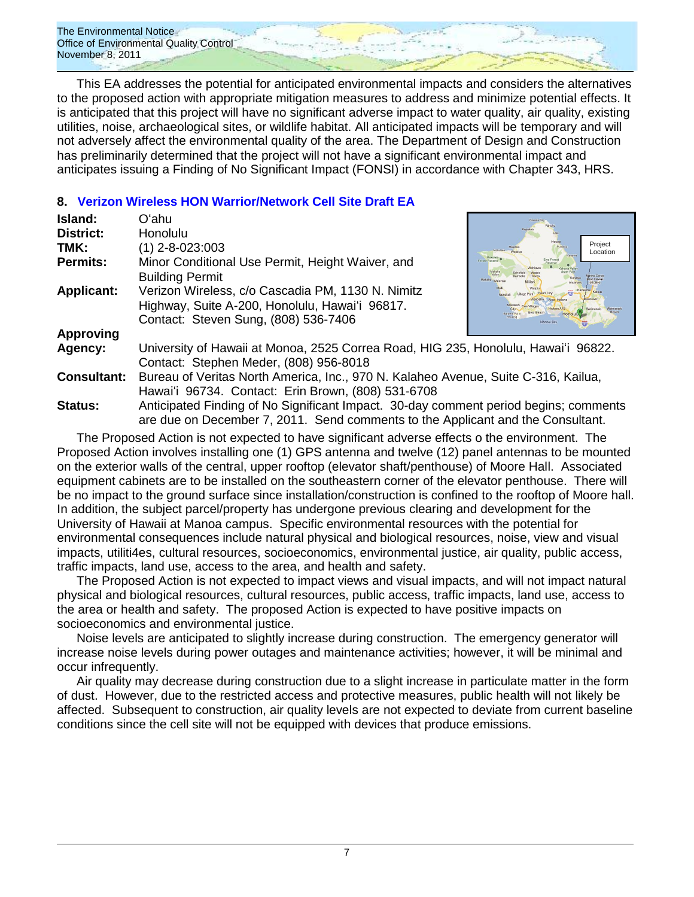

This EA addresses the potential for anticipated environmental impacts and considers the alternatives to the proposed action with appropriate mitigation measures to address and minimize potential effects. It is anticipated that this project will have no significant adverse impact to water quality, air quality, existing utilities, noise, archaeological sites, or wildlife habitat. All anticipated impacts will be temporary and will not adversely affect the environmental quality of the area. The Department of Design and Construction has preliminarily determined that the project will not have a significant environmental impact and anticipates issuing a Finding of No Significant Impact (FONSI) in accordance with Chapter 343, HRS.

## **8. [Verizon Wireless HON Warrior/Network Cell Site Draft EA](http://oeqc.doh.hawaii.gov/Shared%20Documents/EA_and_EIS_Online_Library/Oahu/2010s/2011-11-08-DEA-Verizon-Wireless-Cell-Site.pdf)**

| Island:            | Oʻahu                                                                                                                                                                   |                                |  |
|--------------------|-------------------------------------------------------------------------------------------------------------------------------------------------------------------------|--------------------------------|--|
| <b>District:</b>   | <b>Honolulu</b>                                                                                                                                                         |                                |  |
| TMK:               | $(1)$ 2-8-023:003                                                                                                                                                       | Project<br>Punaluu<br>Location |  |
| <b>Permits:</b>    | Minor Conditional Use Permit, Height Waiver, and<br><b>Building Permit</b>                                                                                              | <b>Ewa Forest</b>              |  |
| <b>Applicant:</b>  | Verizon Wireless, c/o Cascadia PM, 1130 N. Nimitz<br>Highway, Suite A-200, Honolulu, Hawai'i 96817.<br>Contact: Steven Sung, (808) 536-7406                             |                                |  |
| <b>Approving</b>   |                                                                                                                                                                         |                                |  |
| Agency:            | University of Hawaii at Monoa, 2525 Correa Road, HIG 235, Honolulu, Hawai'i 96822.<br>Contact: Stephen Meder, (808) 956-8018                                            |                                |  |
| <b>Consultant:</b> | Bureau of Veritas North America, Inc., 970 N. Kalaheo Avenue, Suite C-316, Kailua,<br>Hawai'i 96734. Contact: Erin Brown, (808) 531-6708                                |                                |  |
| <b>Status:</b>     | Anticipated Finding of No Significant Impact. 30-day comment period begins; comments<br>are due on December 7, 2011. Send comments to the Applicant and the Consultant. |                                |  |

The Proposed Action is not expected to have significant adverse effects o the environment. The Proposed Action involves installing one (1) GPS antenna and twelve (12) panel antennas to be mounted on the exterior walls of the central, upper rooftop (elevator shaft/penthouse) of Moore Hall. Associated equipment cabinets are to be installed on the southeastern corner of the elevator penthouse. There will be no impact to the ground surface since installation/construction is confined to the rooftop of Moore hall. In addition, the subject parcel/property has undergone previous clearing and development for the University of Hawaii at Manoa campus. Specific environmental resources with the potential for environmental consequences include natural physical and biological resources, noise, view and visual impacts, utiliti4es, cultural resources, socioeconomics, environmental justice, air quality, public access, traffic impacts, land use, access to the area, and health and safety.

The Proposed Action is not expected to impact views and visual impacts, and will not impact natural physical and biological resources, cultural resources, public access, traffic impacts, land use, access to the area or health and safety. The proposed Action is expected to have positive impacts on socioeconomics and environmental justice.

Noise levels are anticipated to slightly increase during construction. The emergency generator will increase noise levels during power outages and maintenance activities; however, it will be minimal and occur infrequently.

Air quality may decrease during construction due to a slight increase in particulate matter in the form of dust. However, due to the restricted access and protective measures, public health will not likely be affected. Subsequent to construction, air quality levels are not expected to deviate from current baseline conditions since the cell site will not be equipped with devices that produce emissions.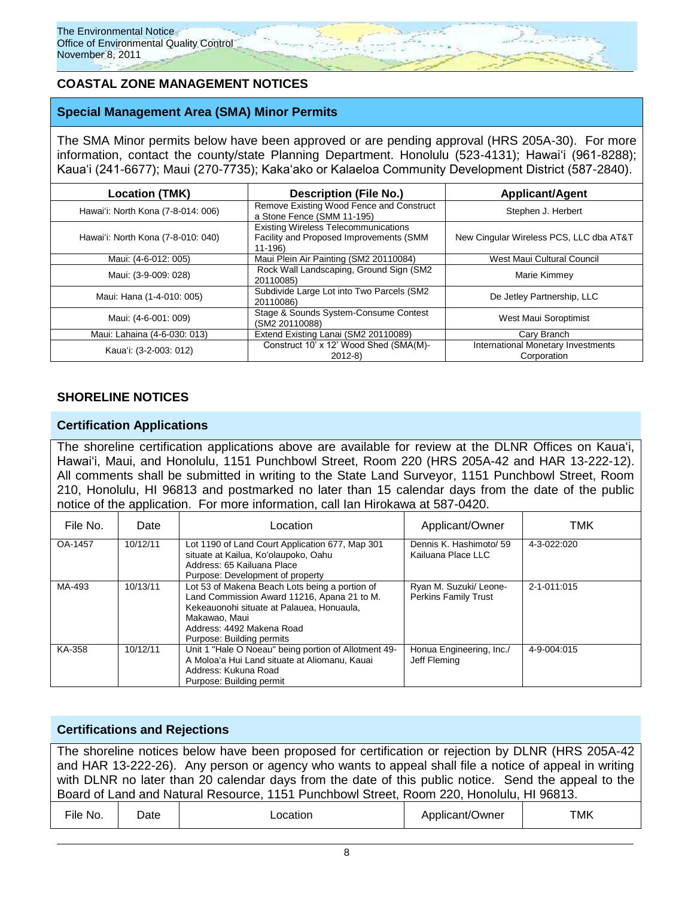## **COASTAL ZONE MANAGEMENT NOTICES**

### **Special Management Area (SMA) Minor Permits**

The SMA Minor permits below have been approved or are pending approval (HRS 205A-30). For more information, contact the county/state Planning Department. Honolulu (523-4131); Hawaiʻi (961-8288); Kaua"i (241-6677); Maui (270-7735); Kakaʻako or Kalaeloa Community Development District (587-2840).

| <b>Location (TMK)</b>              | <b>Description (File No.)</b>                                                                     | <b>Applicant/Agent</b>                            |
|------------------------------------|---------------------------------------------------------------------------------------------------|---------------------------------------------------|
| Hawai'i: North Kona (7-8-014: 006) | Remove Existing Wood Fence and Construct<br>a Stone Fence (SMM 11-195)                            | Stephen J. Herbert                                |
| Hawai'i: North Kona (7-8-010: 040) | <b>Existing Wireless Telecommunications</b><br>Facility and Proposed Improvements (SMM<br>11-196) | New Cingular Wireless PCS, LLC dba AT&T           |
| Maui: (4-6-012: 005)               | Maui Plein Air Painting (SM2 20110084)                                                            | West Maui Cultural Council                        |
| Maui: (3-9-009: 028)               | Rock Wall Landscaping, Ground Sign (SM2)<br>20110085)                                             | Marie Kimmey                                      |
| Maui: Hana (1-4-010: 005)          | Subdivide Large Lot into Two Parcels (SM2<br>20110086)                                            | De Jetley Partnership, LLC                        |
| Maui: (4-6-001: 009)               | Stage & Sounds System-Consume Contest<br>(SM2 20110088)                                           | West Maui Soroptimist                             |
| Maui: Lahaina (4-6-030: 013)       | Extend Existing Lanai (SM2 20110089)                                                              | Cary Branch                                       |
| Kaua'i: (3-2-003: 012)             | Construct 10' x 12' Wood Shed (SMA(M)-<br>$2012-8$                                                | International Monetary Investments<br>Corporation |

### **SHORELINE NOTICES**

### **Certification Applications**

The shoreline certification applications above are available for review at the DLNR Offices on Kauaʻi, Hawaiʻi, Maui, and Honolulu, 1151 Punchbowl Street, Room 220 (HRS 205A-42 and HAR 13-222-12). All comments shall be submitted in writing to the State Land Surveyor, 1151 Punchbowl Street, Room 210, Honolulu, HI 96813 and postmarked no later than 15 calendar days from the date of the public notice of the application. For more information, call Ian Hirokawa at 587-0420.

| File No. | Date     | Location                                                                                                                                                                                                              | Applicant/Owner                                       | TMK         |
|----------|----------|-----------------------------------------------------------------------------------------------------------------------------------------------------------------------------------------------------------------------|-------------------------------------------------------|-------------|
| OA-1457  | 10/12/11 | Lot 1190 of Land Court Application 677, Map 301<br>situate at Kailua, Ko'olaupoko, Oahu<br>Address: 65 Kailuana Place<br>Purpose: Development of property                                                             | Dennis K. Hashimoto/ 59<br>Kailuana Place LLC         | 4-3-022:020 |
| MA-493   | 10/13/11 | Lot 53 of Makena Beach Lots being a portion of<br>Land Commission Award 11216, Apana 21 to M.<br>Kekeauonohi situate at Palauea, Honuaula,<br>Makawao, Maui<br>Address: 4492 Makena Road<br>Purpose: Building permits | Ryan M. Suzuki/ Leone-<br><b>Perkins Family Trust</b> | 2-1-011:015 |
| KA-358   | 10/12/11 | Unit 1 "Hale O Noeau" being portion of Allotment 49-<br>A Moloa'a Hui Land situate at Aliomanu, Kauai<br>Address: Kukuna Road<br>Purpose: Building permit                                                             | Honua Engineering, Inc./<br>Jeff Fleming              | 4-9-004:015 |

### **Certifications and Rejections**

The shoreline notices below have been proposed for certification or rejection by DLNR (HRS 205A-42 and HAR 13-222-26). Any person or agency who wants to appeal shall file a notice of appeal in writing with DLNR no later than 20 calendar days from the date of this public notice. Send the appeal to the Board of Land and Natural Resource, 1151 Punchbowl Street, Room 220, Honolulu, HI 96813.

| ---<br>-ıle<br>No. | Date | າcation | Applicant/Owner | TMK |
|--------------------|------|---------|-----------------|-----|
|--------------------|------|---------|-----------------|-----|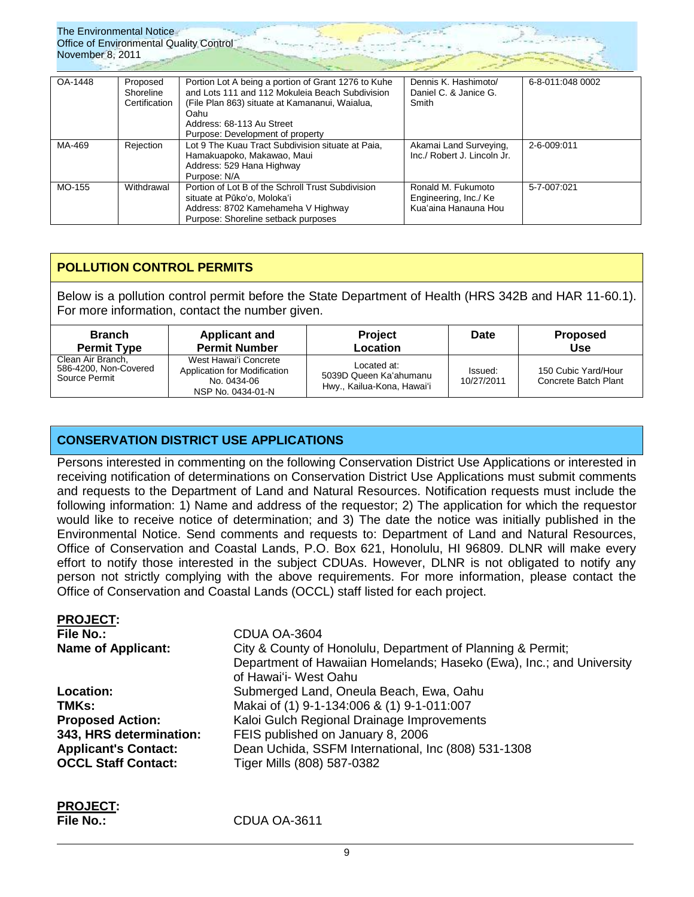

| OA-1448 | Proposed<br>Shoreline<br>Certification | Portion Lot A being a portion of Grant 1276 to Kuhe<br>and Lots 111 and 112 Mokuleia Beach Subdivision<br>(File Plan 863) situate at Kamananui, Waialua,<br>Oahu<br>Address: 68-113 Au Street<br>Purpose: Development of property | Dennis K. Hashimoto/<br>Daniel C. & Janice G.<br>Smith              | 6-8-011:048 0002 |
|---------|----------------------------------------|-----------------------------------------------------------------------------------------------------------------------------------------------------------------------------------------------------------------------------------|---------------------------------------------------------------------|------------------|
| MA-469  | Rejection                              | Lot 9 The Kuau Tract Subdivision situate at Paia.<br>Hamakuapoko, Makawao, Maui<br>Address: 529 Hana Highway<br>Purpose: N/A                                                                                                      | Akamai Land Surveying,<br>Inc./ Robert J. Lincoln Jr.               | 2-6-009:011      |
| MO-155  | Withdrawal                             | Portion of Lot B of the Schroll Trust Subdivision<br>situate at Pūkoʻo, Molokaʻi<br>Address: 8702 Kamehameha V Highway<br>Purpose: Shoreline setback purposes                                                                     | Ronald M. Fukumoto<br>Engineering, Inc./ Ke<br>Kua'aina Hanauna Hou | 5-7-007:021      |

## **POLLUTION CONTROL PERMITS**

Below is a pollution control permit before the State Department of Health (HRS 342B and HAR 11-60.1). For more information, contact the number given.

| <b>Branch</b>                                               | <b>Applicant and</b>                                                                      | <b>Project</b>                                                      | Date                  | <b>Proposed</b>                             |
|-------------------------------------------------------------|-------------------------------------------------------------------------------------------|---------------------------------------------------------------------|-----------------------|---------------------------------------------|
| <b>Permit Type</b>                                          | <b>Permit Number</b>                                                                      | <b>Location</b>                                                     |                       | <b>Use</b>                                  |
| Clean Air Branch,<br>586-4200, Non-Covered<br>Source Permit | West Hawai'i Concrete<br>Application for Modification<br>No. 0434-06<br>NSP No. 0434-01-N | Located at:<br>5039D Queen Ka'ahumanu<br>Hwy., Kailua-Kona, Hawai'i | Issued:<br>10/27/2011 | 150 Cubic Yard/Hour<br>Concrete Batch Plant |

## **CONSERVATION DISTRICT USE APPLICATIONS**

Persons interested in commenting on the following Conservation District Use Applications or interested in receiving notification of determinations on Conservation District Use Applications must submit comments and requests to the Department of Land and Natural Resources. Notification requests must include the following information: 1) Name and address of the requestor; 2) The application for which the requestor would like to receive notice of determination; and 3) The date the notice was initially published in the Environmental Notice. Send comments and requests to: Department of Land and Natural Resources, Office of Conservation and Coastal Lands, P.O. Box 621, Honolulu, HI 96809. DLNR will make every effort to notify those interested in the subject CDUAs. However, DLNR is not obligated to notify any person not strictly complying with the above requirements. For more information, please contact the Office of Conservation and Coastal Lands (OCCL) staff listed for each project.

| <b>PROJECT:</b>             |                                                                      |
|-----------------------------|----------------------------------------------------------------------|
| File No.:                   | CDUA OA-3604                                                         |
| <b>Name of Applicant:</b>   | City & County of Honolulu, Department of Planning & Permit;          |
|                             | Department of Hawaiian Homelands; Haseko (Ewa), Inc.; and University |
|                             | of Hawai'i- West Oahu                                                |
| <b>Location:</b>            | Submerged Land, Oneula Beach, Ewa, Oahu                              |
| TMKs:                       | Makai of (1) 9-1-134:006 & (1) 9-1-011:007                           |
| <b>Proposed Action:</b>     | Kaloi Gulch Regional Drainage Improvements                           |
| 343, HRS determination:     | FEIS published on January 8, 2006                                    |
| <b>Applicant's Contact:</b> | Dean Uchida, SSFM International, Inc (808) 531-1308                  |
| <b>OCCL Staff Contact:</b>  | Tiger Mills (808) 587-0382                                           |
|                             |                                                                      |

**PROJECT:** 

**File No.:** CDUA OA-3611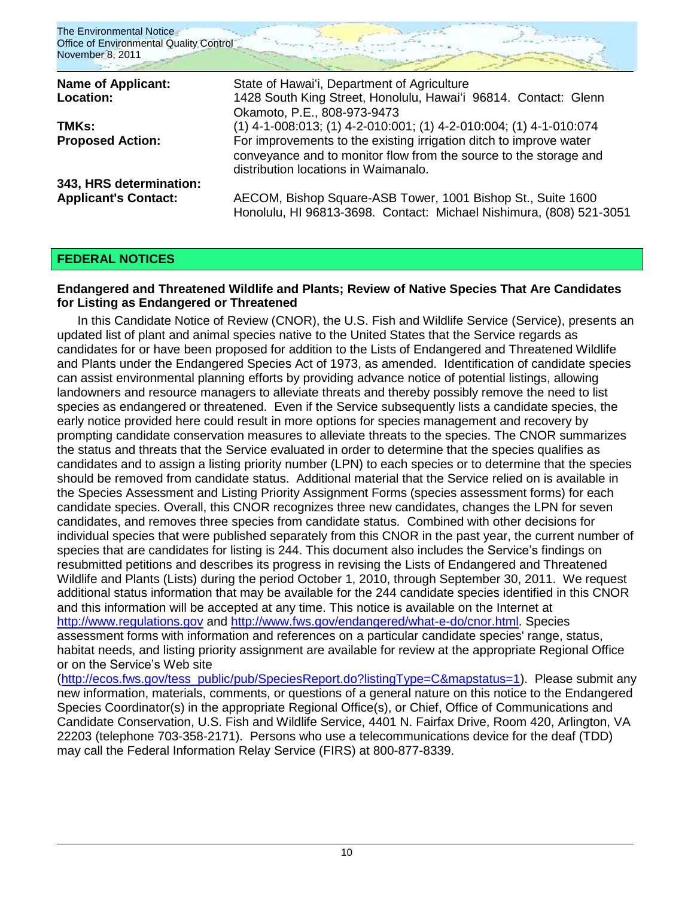| The Environmental Notice<br>Office of Environmental Quality Control<br>November 8, 2011 |                                                                                                                                                                                 |
|-----------------------------------------------------------------------------------------|---------------------------------------------------------------------------------------------------------------------------------------------------------------------------------|
| <b>Name of Applicant:</b>                                                               | State of Hawai'i, Department of Agriculture                                                                                                                                     |
| Location:                                                                               | 1428 South King Street, Honolulu, Hawai'i 96814. Contact: Glenn<br>Okamoto, P.E., 808-973-9473                                                                                  |
| TMKs:                                                                                   | $(1)$ 4-1-008:013; (1) 4-2-010:001; (1) 4-2-010:004; (1) 4-1-010:074                                                                                                            |
| <b>Proposed Action:</b>                                                                 | For improvements to the existing irrigation ditch to improve water<br>conveyance and to monitor flow from the source to the storage and<br>distribution locations in Waimanalo. |
| 343, HRS determination:                                                                 |                                                                                                                                                                                 |
| <b>Applicant's Contact:</b>                                                             | AECOM, Bishop Square-ASB Tower, 1001 Bishop St., Suite 1600<br>Honolulu, HI 96813-3698. Contact: Michael Nishimura, (808) 521-3051                                              |

## **FEDERAL NOTICES**

## **Endangered and Threatened Wildlife and Plants; Review of Native Species That Are Candidates for Listing as Endangered or Threatened**

In this Candidate Notice of Review (CNOR), the U.S. Fish and Wildlife Service (Service), presents an updated list of plant and animal species native to the United States that the Service regards as candidates for or have been proposed for addition to the Lists of Endangered and Threatened Wildlife and Plants under the Endangered Species Act of 1973, as amended. Identification of candidate species can assist environmental planning efforts by providing advance notice of potential listings, allowing landowners and resource managers to alleviate threats and thereby possibly remove the need to list species as endangered or threatened. Even if the Service subsequently lists a candidate species, the early notice provided here could result in more options for species management and recovery by prompting candidate conservation measures to alleviate threats to the species. The CNOR summarizes the status and threats that the Service evaluated in order to determine that the species qualifies as candidates and to assign a listing priority number (LPN) to each species or to determine that the species should be removed from candidate status. Additional material that the Service relied on is available in the Species Assessment and Listing Priority Assignment Forms (species assessment forms) for each candidate species. Overall, this CNOR recognizes three new candidates, changes the LPN for seven candidates, and removes three species from candidate status. Combined with other decisions for individual species that were published separately from this CNOR in the past year, the current number of species that are candidates for listing is 244. This document also includes the Service's findings on resubmitted petitions and describes its progress in revising the Lists of Endangered and Threatened Wildlife and Plants (Lists) during the period October 1, 2010, through September 30, 2011. We request additional status information that may be available for the 244 candidate species identified in this CNOR and this information will be accepted at any time. This notice is available on the Internet at [http://www.regulations.gov](http://www.regulations.gov/) and [http://www.fws.gov/endangered/what-e-do/cnor.html.](http://www.fws.gov/endangered/what-e-do/cnor.html) Species assessment forms with information and references on a particular candidate species' range, status, habitat needs, and listing priority assignment are available for review at the appropriate Regional Office or on the Service"s Web site

[\(http://ecos.fws.gov/tess\\_public/pub/SpeciesReport.do?listingType=C&mapstatus=1\)](http://ecos.fws.gov/tess_public/pub/SpeciesReport.do?listingType=C&mapstatus=1). Please submit any new information, materials, comments, or questions of a general nature on this notice to the Endangered Species Coordinator(s) in the appropriate Regional Office(s), or Chief, Office of Communications and Candidate Conservation, U.S. Fish and Wildlife Service, 4401 N. Fairfax Drive, Room 420, Arlington, VA 22203 (telephone 703-358-2171). Persons who use a telecommunications device for the deaf (TDD) may call the Federal Information Relay Service (FIRS) at 800-877-8339.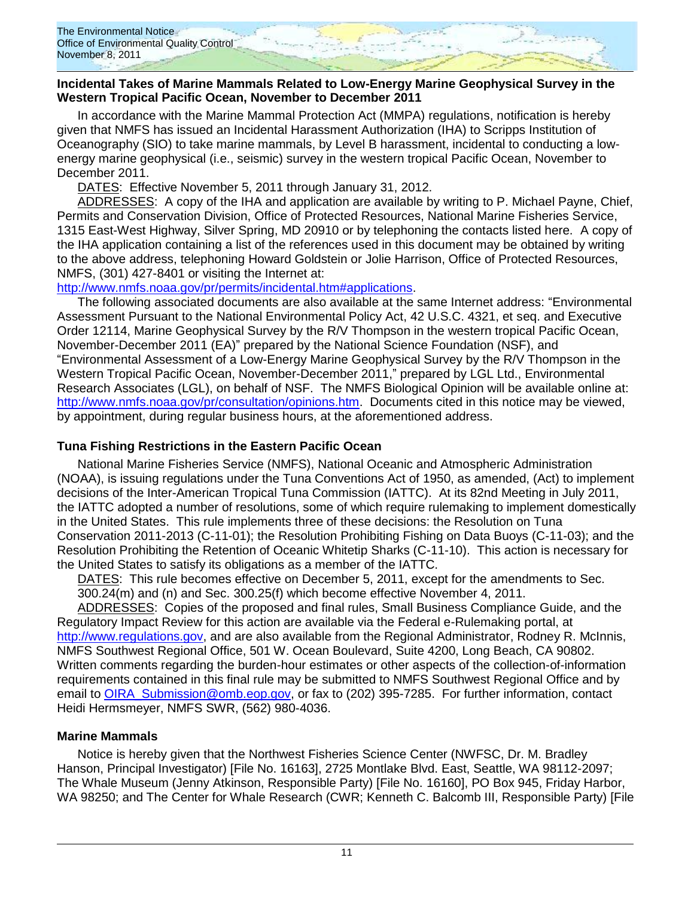### **Incidental Takes of Marine Mammals Related to Low-Energy Marine Geophysical Survey in the Western Tropical Pacific Ocean, November to December 2011**

In accordance with the Marine Mammal Protection Act (MMPA) regulations, notification is hereby given that NMFS has issued an Incidental Harassment Authorization (IHA) to Scripps Institution of Oceanography (SIO) to take marine mammals, by Level B harassment, incidental to conducting a lowenergy marine geophysical (i.e., seismic) survey in the western tropical Pacific Ocean, November to December 2011.

DATES: Effective November 5, 2011 through January 31, 2012.

ADDRESSES: A copy of the IHA and application are available by writing to P. Michael Payne, Chief, Permits and Conservation Division, Office of Protected Resources, National Marine Fisheries Service, 1315 East-West Highway, Silver Spring, MD 20910 or by telephoning the contacts listed here. A copy of the IHA application containing a list of the references used in this document may be obtained by writing to the above address, telephoning Howard Goldstein or Jolie Harrison, Office of Protected Resources, NMFS, (301) 427-8401 or visiting the Internet at:

[http://www.nmfs.noaa.gov/pr/permits/incidental.htm#applications.](http://www.nmfs.noaa.gov/pr/permits/incidental.htm#applications)

The following associated documents are also available at the same Internet address: "Environmental Assessment Pursuant to the National Environmental Policy Act, 42 U.S.C. 4321, et seq. and Executive Order 12114, Marine Geophysical Survey by the R/V Thompson in the western tropical Pacific Ocean, November-December 2011 (EA)" prepared by the National Science Foundation (NSF), and "Environmental Assessment of a Low-Energy Marine Geophysical Survey by the R/V Thompson in the Western Tropical Pacific Ocean, November-December 2011," prepared by LGL Ltd., Environmental Research Associates (LGL), on behalf of NSF. The NMFS Biological Opinion will be available online at: [http://www.nmfs.noaa.gov/pr/consultation/opinions.htm.](http://www.nmfs.noaa.gov/pr/consultation/opinions.htm) Documents cited in this notice may be viewed, by appointment, during regular business hours, at the aforementioned address.

## **Tuna Fishing Restrictions in the Eastern Pacific Ocean**

National Marine Fisheries Service (NMFS), National Oceanic and Atmospheric Administration (NOAA), is issuing regulations under the Tuna Conventions Act of 1950, as amended, (Act) to implement decisions of the Inter-American Tropical Tuna Commission (IATTC). At its 82nd Meeting in July 2011, the IATTC adopted a number of resolutions, some of which require rulemaking to implement domestically in the United States. This rule implements three of these decisions: the Resolution on Tuna Conservation 2011-2013 (C-11-01); the Resolution Prohibiting Fishing on Data Buoys (C-11-03); and the Resolution Prohibiting the Retention of Oceanic Whitetip Sharks (C-11-10). This action is necessary for the United States to satisfy its obligations as a member of the IATTC.

DATES: This rule becomes effective on December 5, 2011, except for the amendments to Sec. 300.24(m) and (n) and Sec. 300.25(f) which become effective November 4, 2011.

ADDRESSES: Copies of the proposed and final rules, Small Business Compliance Guide, and the Regulatory Impact Review for this action are available via the Federal e-Rulemaking portal, at [http://www.regulations.gov,](http://www.regulations.gov/) and are also available from the Regional Administrator, Rodney R. McInnis, NMFS Southwest Regional Office, 501 W. Ocean Boulevard, Suite 4200, Long Beach, CA 90802. Written comments regarding the burden-hour estimates or other aspects of the collection-of-information requirements contained in this final rule may be submitted to NMFS Southwest Regional Office and by email to [OIRA\\_Submission@omb.eop.gov,](mailto:OIRA_Submission@omb.eop.gov) or fax to (202) 395-7285. For further information, contact Heidi Hermsmeyer, NMFS SWR, (562) 980-4036.

## **Marine Mammals**

Notice is hereby given that the Northwest Fisheries Science Center (NWFSC, Dr. M. Bradley Hanson, Principal Investigator) [File No. 16163], 2725 Montlake Blvd. East, Seattle, WA 98112-2097; The Whale Museum (Jenny Atkinson, Responsible Party) [File No. 16160], PO Box 945, Friday Harbor, WA 98250; and The Center for Whale Research (CWR; Kenneth C. Balcomb III, Responsible Party) [File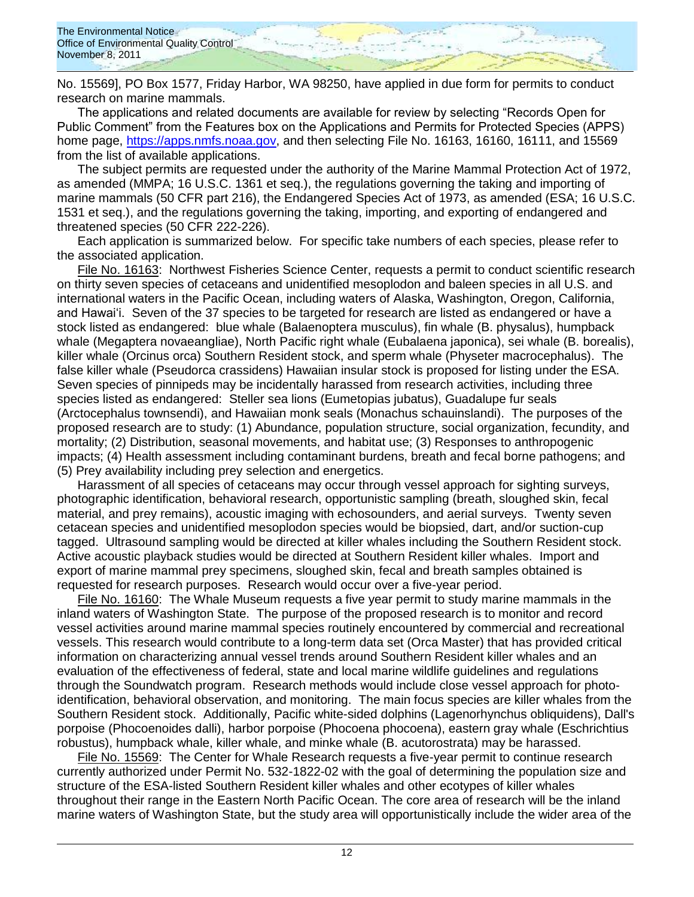No. 15569], PO Box 1577, Friday Harbor, WA 98250, have applied in due form for permits to conduct research on marine mammals.

The applications and related documents are available for review by selecting "Records Open for Public Comment" from the Features box on the Applications and Permits for Protected Species (APPS) home page, [https://apps.nmfs.noaa.gov,](http://frwebgate.access.gpo.gov/cgi-bin/leaving.cgi?from=leavingFR.html&log=linklog&to=https://apps.nmfs.noaa.gov) and then selecting File No. 16163, 16160, 16111, and 15569 from the list of available applications.

The subject permits are requested under the authority of the Marine Mammal Protection Act of 1972, as amended (MMPA; 16 U.S.C. 1361 et seq.), the regulations governing the taking and importing of marine mammals (50 CFR part 216), the Endangered Species Act of 1973, as amended (ESA; 16 U.S.C. 1531 et seq.), and the regulations governing the taking, importing, and exporting of endangered and threatened species (50 CFR 222-226).

Each application is summarized below. For specific take numbers of each species, please refer to the associated application.

File No. 16163: Northwest Fisheries Science Center, requests a permit to conduct scientific research on thirty seven species of cetaceans and unidentified mesoplodon and baleen species in all U.S. and international waters in the Pacific Ocean, including waters of Alaska, Washington, Oregon, California, and Hawaiʻi. Seven of the 37 species to be targeted for research are listed as endangered or have a stock listed as endangered: blue whale (Balaenoptera musculus), fin whale (B. physalus), humpback whale (Megaptera novaeangliae), North Pacific right whale (Eubalaena japonica), sei whale (B. borealis), killer whale (Orcinus orca) Southern Resident stock, and sperm whale (Physeter macrocephalus). The false killer whale (Pseudorca crassidens) Hawaiian insular stock is proposed for listing under the ESA. Seven species of pinnipeds may be incidentally harassed from research activities, including three species listed as endangered: Steller sea lions (Eumetopias jubatus), Guadalupe fur seals (Arctocephalus townsendi), and Hawaiian monk seals (Monachus schauinslandi). The purposes of the proposed research are to study: (1) Abundance, population structure, social organization, fecundity, and mortality; (2) Distribution, seasonal movements, and habitat use; (3) Responses to anthropogenic impacts; (4) Health assessment including contaminant burdens, breath and fecal borne pathogens; and (5) Prey availability including prey selection and energetics.

Harassment of all species of cetaceans may occur through vessel approach for sighting surveys, photographic identification, behavioral research, opportunistic sampling (breath, sloughed skin, fecal material, and prey remains), acoustic imaging with echosounders, and aerial surveys. Twenty seven cetacean species and unidentified mesoplodon species would be biopsied, dart, and/or suction-cup tagged. Ultrasound sampling would be directed at killer whales including the Southern Resident stock. Active acoustic playback studies would be directed at Southern Resident killer whales. Import and export of marine mammal prey specimens, sloughed skin, fecal and breath samples obtained is requested for research purposes. Research would occur over a five-year period.

File No. 16160: The Whale Museum requests a five year permit to study marine mammals in the inland waters of Washington State. The purpose of the proposed research is to monitor and record vessel activities around marine mammal species routinely encountered by commercial and recreational vessels. This research would contribute to a long-term data set (Orca Master) that has provided critical information on characterizing annual vessel trends around Southern Resident killer whales and an evaluation of the effectiveness of federal, state and local marine wildlife guidelines and regulations through the Soundwatch program. Research methods would include close vessel approach for photoidentification, behavioral observation, and monitoring. The main focus species are killer whales from the Southern Resident stock. Additionally, Pacific white-sided dolphins (Lagenorhynchus obliquidens), Dall's porpoise (Phocoenoides dalli), harbor porpoise (Phocoena phocoena), eastern gray whale (Eschrichtius robustus), humpback whale, killer whale, and minke whale (B. acutorostrata) may be harassed.

File No. 15569: The Center for Whale Research requests a five-year permit to continue research currently authorized under Permit No. 532-1822-02 with the goal of determining the population size and structure of the ESA-listed Southern Resident killer whales and other ecotypes of killer whales throughout their range in the Eastern North Pacific Ocean. The core area of research will be the inland marine waters of Washington State, but the study area will opportunistically include the wider area of the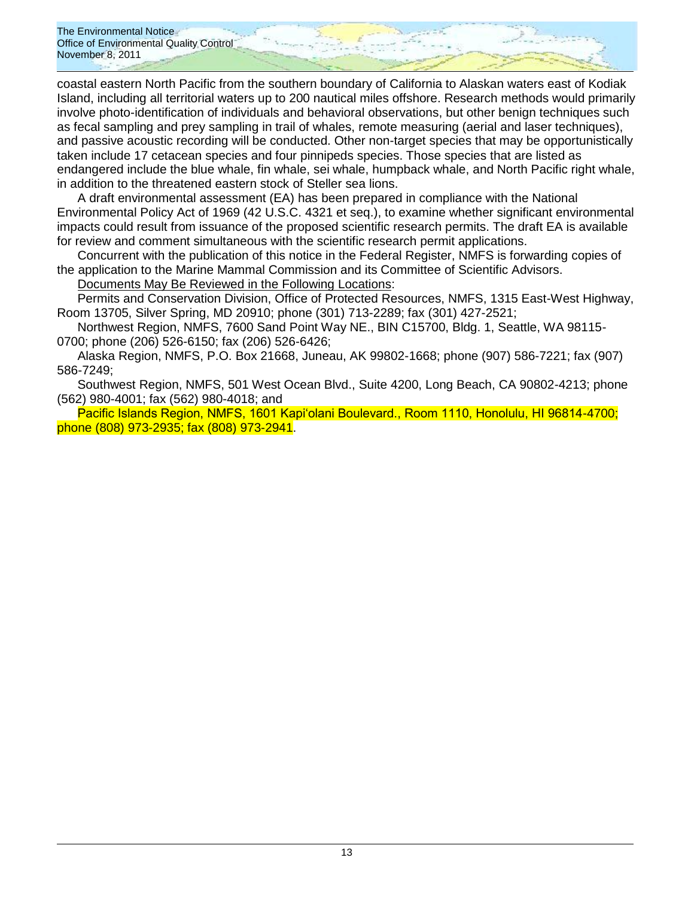The Environmental Notice Office of Environmental Quality Control November 8, 2011

coastal eastern North Pacific from the southern boundary of California to Alaskan waters east of Kodiak Island, including all territorial waters up to 200 nautical miles offshore. Research methods would primarily involve photo-identification of individuals and behavioral observations, but other benign techniques such as fecal sampling and prey sampling in trail of whales, remote measuring (aerial and laser techniques), and passive acoustic recording will be conducted. Other non-target species that may be opportunistically taken include 17 cetacean species and four pinnipeds species. Those species that are listed as endangered include the blue whale, fin whale, sei whale, humpback whale, and North Pacific right whale, in addition to the threatened eastern stock of Steller sea lions.

A draft environmental assessment (EA) has been prepared in compliance with the National Environmental Policy Act of 1969 (42 U.S.C. 4321 et seq.), to examine whether significant environmental impacts could result from issuance of the proposed scientific research permits. The draft EA is available for review and comment simultaneous with the scientific research permit applications.

Concurrent with the publication of this notice in the Federal Register, NMFS is forwarding copies of the application to the Marine Mammal Commission and its Committee of Scientific Advisors.

Documents May Be Reviewed in the Following Locations:

Permits and Conservation Division, Office of Protected Resources, NMFS, 1315 East-West Highway, Room 13705, Silver Spring, MD 20910; phone (301) 713-2289; fax (301) 427-2521;

Northwest Region, NMFS, 7600 Sand Point Way NE., BIN C15700, Bldg. 1, Seattle, WA 98115- 0700; phone (206) 526-6150; fax (206) 526-6426;

Alaska Region, NMFS, P.O. Box 21668, Juneau, AK 99802-1668; phone (907) 586-7221; fax (907) 586-7249;

Southwest Region, NMFS, 501 West Ocean Blvd., Suite 4200, Long Beach, CA 90802-4213; phone (562) 980-4001; fax (562) 980-4018; and

Pacific Islands Region, NMFS, 1601 Kapiʻolani Boulevard., Room 1110, Honolulu, HI 96814-4700; phone (808) 973-2935; fax (808) 973-2941.